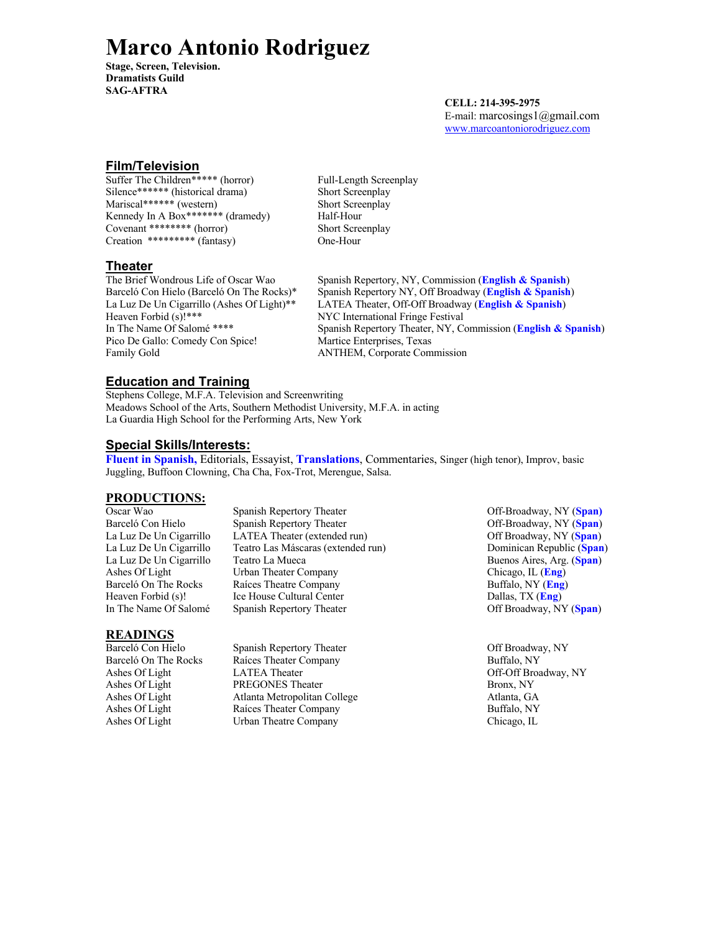# **Marco Antonio Rodriguez**

**Stage, Screen, Television. Dramatists Guild SAG-AFTRA**

**CELL: 214-395-2975** E-mail: marcosings1@gmail.com www.marcoantoniorodriguez.com

### **Film/Television**

Suffer The Children<sup>\*\*\*\*\*</sup> (horror) Full-Length Screenplay Silence\*\*\*\*\*\* (historical drama) Short Screenplay Mariscal\*\*\*\*\*\* (western) Short Screenplay Kennedy In A Box\*\*\*\*\*\*\*\* (dramedy) Half-Hour Covenant \*\*\*\*\*\*\*\* (horror) Short Screenplay Creation \*\*\*\*\*\*\*\*\* (fantasy) One-Hour

#### **Theater**

Heaven Forbid (s)!\*\*\* NYC International Fringe Festival<br>In The Name Of Salomé \*\*\*\* Spanish Repertory Theater, NY, C Pico De Gallo: Comedy Con Spice! Martice Enterprises, Texas Family Gold **ANTHEM**, Corporate Commission

The Brief Wondrous Life of Oscar Wao Spanish Repertory, NY, Commission (**English & Spanish**) Barceló Con Hielo (Barceló On The Rocks)\* Spanish Repertory NY, Off Broadway (**English & Spanish**) La Luz De Un Cigarrillo (Ashes Of Light)\*\* LATEA Theater, Off-Off Broadway (**English & Spanish**) Spanish Repertory Theater, NY, Commission (**English & Spanish**)

## **Education and Training**

Stephens College, M.F.A. Television and Screenwriting Meadows School of the Arts, Southern Methodist University, M.F.A. in acting La Guardia High School for the Performing Arts, New York

#### **Special Skills/Interests:**

**Fluent in Spanish,** Editorials, Essayist, **Translations**, Commentaries, Singer (high tenor), Improv, basic Juggling, Buffoon Clowning, Cha Cha, Fox-Trot, Merengue, Salsa.

#### **PRODUCTIONS:**

Barceló On The Rocks Raíces Theatre Company

Oscar Wao Spanish Repertory Theater **Off-Broadway**, NY (Span) Barceló Con Hielo Spanish Repertory Theater **Off-Broadway**, NY (Span) La Luz De Un Cigarrillo LATEA Theater (extended run) Off Broadway, NY (**Span**) La Luz De Un Cigarrillo Teatro Las Máscaras (extended run) La Luz De Un Cigarrillo Teatro La Mueca **Buenos Aires, Arg.** (Span) Ashes Of Light Urban Theater Company Chicago, IL (**Eng**)<br>Barceló On The Rocks Raíces Theatre Company Buffalo, NY (**Eng**) Heaven Forbid (s)! Ice House Cultural Center **Dallas**, TX (*Eng*) In The Name Of Salomé Spanish Repertory Theater Off Broadway, NY (**Span**)

#### **READINGS**

Barceló Con Hielo Spanish Repertory Theater Spanish Repertory Theater Off Broadway, NY Barceló On The Rocks Raíces Theater Company Buffalo, NY Ashes Of Light LATEA Theater Contract Contract Contract Contract Contract Contract Contract Contract Contract Contract Contract Contract Contract Contract Contract Contract Contract Contract Contract Contract Contract Cont Ashes Of Light PREGONES Theater Bronx, NY Ashes Of Light Atlanta Metropolitan College Atlanta, GA Ashes Of Light Raíces Theater Company Buffalo, NY Ashes Of Light Urban Theatre Company Chicago, IL